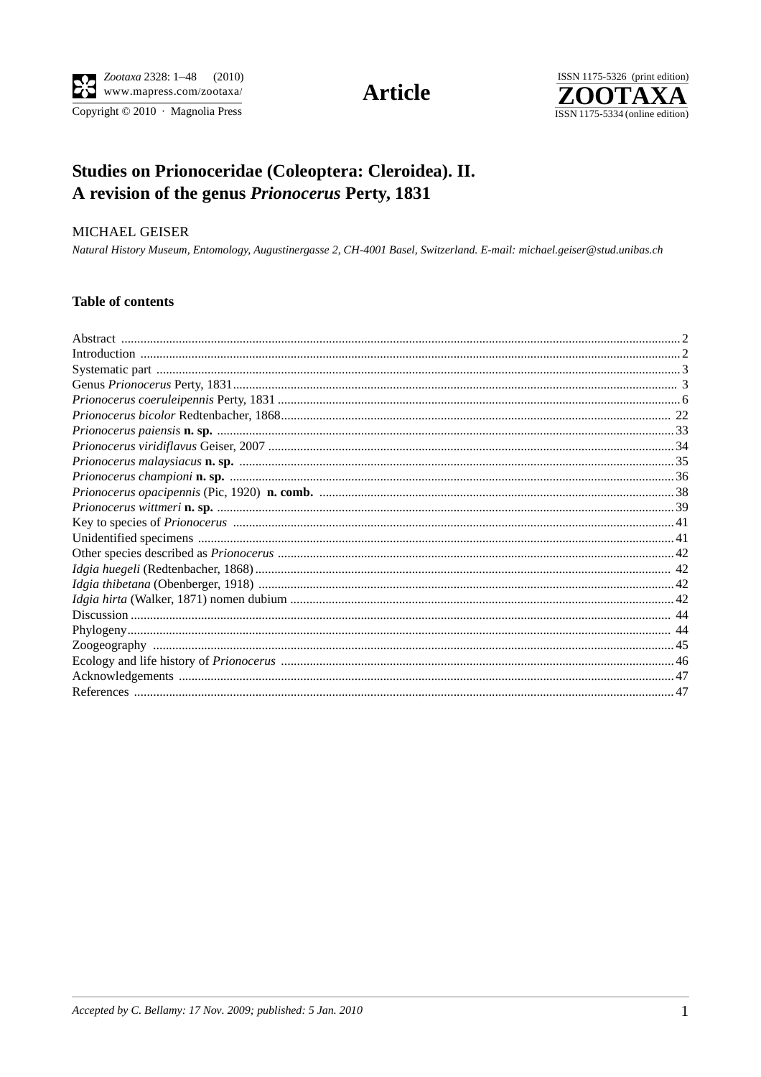

Copyright © 2010 · Magnolia Press

# **Article**



# Studies on Prionoceridae (Coleoptera: Cleroidea). II. A revision of the genus Prionocerus Perty, 1831

## MICHAEL GEISER

Natural History Museum, Entomology, Augustinergasse 2, CH-4001 Basel, Switzerland. E-mail: michael.geiser@stud.unibas.ch

# **Table of contents**